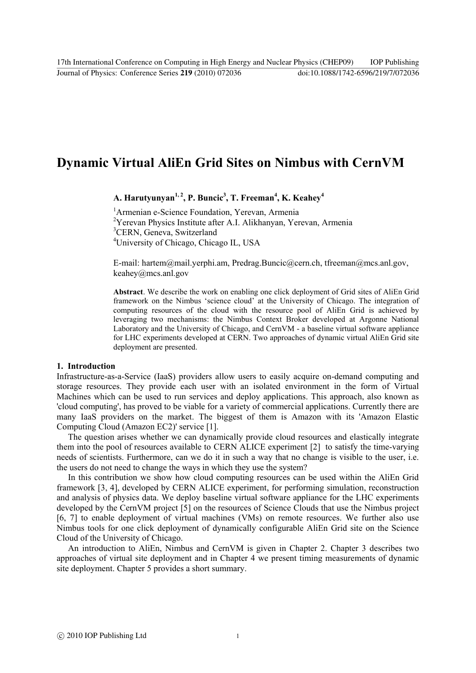# **Dynamic Virtual AliEn Grid Sites on Nimbus with CernVM**

 $\boldsymbol{\mathrm{A}}$ . Harutyunyan<sup>1, 2</sup>, P. Buncic<sup>3</sup>, T. Freeman<sup>4</sup>, K. Keahey<sup>4</sup>

<sup>1</sup> Armenian e-Science Foundation, Yerevan, Armenia <sup>2</sup>Yerevan Physics Institute after A.I. Alikhanyan, Yerevan, Armenia <sup>3</sup>CERN, Geneva, Switzerland <sup>4</sup>University of Chicago, Chicago IL, USA

E-mail: hartem@mail.yerphi.am, Predrag.Buncic@cern.ch, tfreeman@mcs.anl.gov, keahey@mcs.anl.gov

**Abstract**. We describe the work on enabling one click deployment of Grid sites of AliEn Grid framework on the Nimbus 'science cloud' at the University of Chicago. The integration of computing resources of the cloud with the resource pool of AliEn Grid is achieved by leveraging two mechanisms: the Nimbus Context Broker developed at Argonne National Laboratory and the University of Chicago, and CernVM - a baseline virtual software appliance for LHC experiments developed at CERN. Two approaches of dynamic virtual AliEn Grid site deployment are presented.

#### **1.** Introduction

Infrastructure-as-a-Service (IaaS) providers allow users to easily acquire on-demand computing and storage resources. They provide each user with an isolated environment in the form of Virtual Machines which can be used to run services and deploy applications. This approach, also known as 'cloud computing', has proved to be viable for a variety of commercial applications. Currently there are many IaaS providers on the market. The biggest of them is Amazon with its 'Amazon Elastic Computing Cloud (Amazon EC2)' service [1].

The question arises whether we can dynamically provide cloud resources and elastically integrate them into the pool of resources available to CERN ALICE experiment [2] to satisfy the time-varying needs of scientists. Furthermore, can we do it in such a way that no change is visible to the user, i.e. the users do not need to change the ways in which they use the system?

In this contribution we show how cloud computing resources can be used within the AliEn Grid framework [3, 4], developed by CERN ALICE experiment, for performing simulation, reconstruction and analysis of physics data. We deploy baseline virtual software appliance for the LHC experiments developed by the CernVM project [5] on the resources of Science Clouds that use the Nimbus project [6, 7] to enable deployment of virtual machines (VMs) on remote resources. We further also use Nimbus tools for one click deployment of dynamically configurable AliEn Grid site on the Science Cloud of the University of Chicago.

An introduction to AliEn, Nimbus and CernVM is given in Chapter 2. Chapter 3 describes two approaches of virtual site deployment and in Chapter 4 we present timing measurements of dynamic site deployment. Chapter 5 provides a short summary.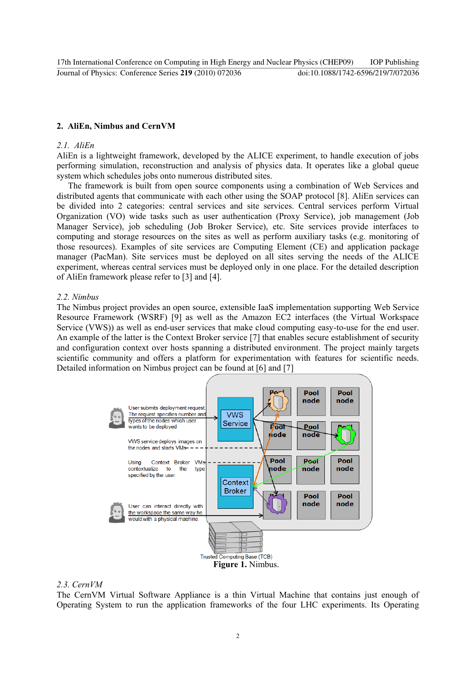# **2. AliEn, Nimbus and CernVM**

# *2.1.\$\$AliEn*

AliEn is a lightweight framework, developed by the ALICE experiment, to handle execution of jobs performing simulation, reconstruction and analysis of physics data. It operates like a global queue system which schedules jobs onto numerous distributed sites.

The framework is built from open source components using a combination of Web Services and distributed agents that communicate with each other using the SOAP protocol [8]. AliEn services can be divided into 2 categories: central services and site services. Central services perform Virtual Organization (VO) wide tasks such as user authentication (Proxy Service), job management (Job) Manager Service), job scheduling (Job Broker Service), etc. Site services provide interfaces to computing and storage resources on the sites as well as perform auxiliary tasks (e.g. monitoring of those resources). Examples of site services are Computing Element (CE) and application package manager (PacMan). Site services must be deployed on all sites serving the needs of the ALICE experiment, whereas central services must be deployed only in one place. For the detailed description of AliEn framework please refer to [3] and [4].

# *2.2. Nimbus*

The Nimbus project provides an open source, extensible IaaS implementation supporting Web Service Resource Framework (WSRF) [9] as well as the Amazon EC2 interfaces (the Virtual Workspace Service (VWS)) as well as end-user services that make cloud computing easy-to-use for the end user. An example of the latter is the Context Broker service [7] that enables secure establishment of security and configuration context over hosts spanning a distributed environment. The project mainly targets scientific community and offers a platform for experimentation with features for scientific needs. Detailed information on Nimbus project can be found at [6] and [7]



#### *2.3.\$CernVM\$*

The CernVM Virtual Software Appliance is a thin Virtual Machine that contains just enough of Operating System to run the application frameworks of the four LHC experiments. Its Operating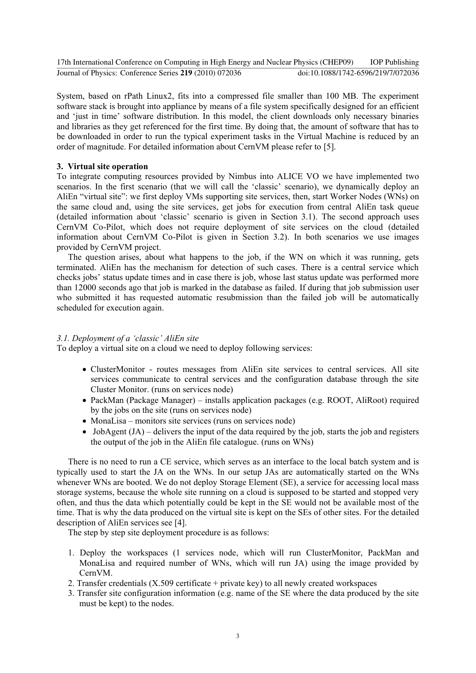System, based on rPath Linux2, fits into a compressed file smaller than 100 MB. The experiment software stack is brought into appliance by means of a file system specifically designed for an efficient and 'just in time' software distribution. In this model, the client downloads only necessary binaries and libraries as they get referenced for the first time. By doing that, the amount of software that has to be downloaded in order to run the typical experiment tasks in the Virtual Machine is reduced by an order of magnitude. For detailed information about CernVM please refer to [5].

# **3. Virtual site operation**

To integrate computing resources provided by Nimbus into ALICE VO we have implemented two scenarios. In the first scenario (that we will call the 'classic' scenario), we dynamically deploy an AliEn "virtual site": we first deploy VMs supporting site services, then, start Worker Nodes (WNs) on the same cloud and, using the site services, get jobs for execution from central AliEn task queue (detailed information about 'classic' scenario is given in Section 3.1). The second approach uses CernVM Co-Pilot, which does not require deployment of site services on the cloud (detailed information about CernVM Co-Pilot is given in Section 3.2). In both scenarios we use images provided by CernVM project.

The question arises, about what happens to the job, if the WN on which it was running, gets terminated. AliEn has the mechanism for detection of such cases. There is a central service which checks jobs' status update times and in case there is job, whose last status update was performed more than 12000 seconds ago that job is marked in the database as failed. If during that job submission user who submitted it has requested automatic resubmission than the failed job will be automatically scheduled for execution again.

# *3.1. Deployment of a 'classic' AliEn site*

To deploy a virtual site on a cloud we need to deploy following services:

- ClusterMonitor routes messages from AliEn site services to central services. All site services communicate to central services and the configuration database through the site Cluster Monitor. (runs on services node)
- PackMan (Package Manager) installs application packages (e.g. ROOT, AliRoot) required by the jobs on the site (runs on services node)
- $\bullet$  MonaLisa monitors site services (runs on services node)
- JobAgent  $(JA)$  delivers the input of the data required by the job, starts the job and registers the output of the job in the AliEn file catalogue. (runs on  $WNs$ )

There is no need to run a CE service, which serves as an interface to the local batch system and is typically used to start the JA on the WNs. In our setup JAs are automatically started on the WNs whenever WNs are booted. We do not deploy Storage Element (SE), a service for accessing local mass storage systems, because the whole site running on a cloud is supposed to be started and stopped very often, and thus the data which potentially could be kept in the SE would not be available most of the time. That is why the data produced on the virtual site is kept on the SEs of other sites. For the detailed description of AliEn services see [4].

The step by step site deployment procedure is as follows:

- 1. Deploy the workspaces (1 services node, which will run ClusterMonitor, PackMan and MonaLisa and required number of WNs, which will run JA) using the image provided by CernVM.
- 2. Transfer credentials  $(X.509$  certificate + private key) to all newly created workspaces
- 3. Transfer site configuration information (e.g. name of the SE where the data produced by the site must be kept) to the nodes.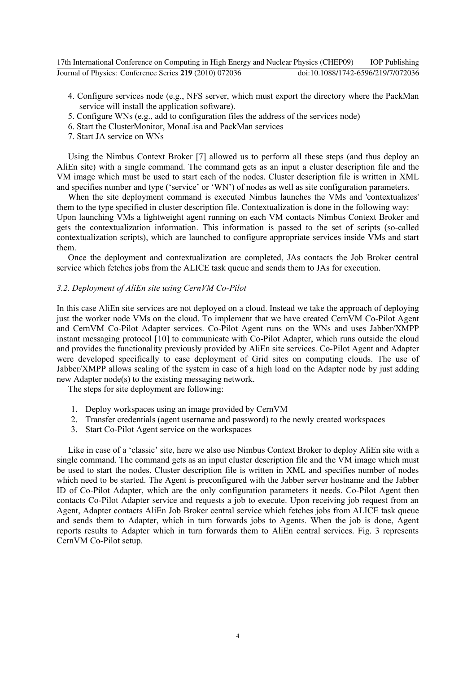| 17th International Conference on Computing in High Energy and Nuclear Physics (CHEP09) |                                    | <b>IOP Publishing</b> |
|----------------------------------------------------------------------------------------|------------------------------------|-----------------------|
| Journal of Physics: Conference Series 219 (2010) 072036                                | doi:10.1088/1742-6596/219/7/072036 |                       |

- 4. Configure services node (e.g., NFS server, which must export the directory where the PackMan service will install the application software).
- 5. Configure WNs (e.g., add to configuration files the address of the services node)
- 6. Start the ClusterMonitor, MonaLisa and PackMan services
- 7. Start JA service on WNs

Using the Nimbus Context Broker [7] allowed us to perform all these steps (and thus deploy an AliEn site) with a single command. The command gets as an input a cluster description file and the VM image which must be used to start each of the nodes. Cluster description file is written in XML and specifies number and type ('service' or 'WN') of nodes as well as site configuration parameters.

When the site deployment command is executed Nimbus launches the VMs and 'contextualizes' them to the type specified in cluster description file. Contextualization is done in the following way: Upon launching VMs a lightweight agent running on each VM contacts Nimbus Context Broker and gets the contextualization information. This information is passed to the set of scripts (so-called contextualization scripts), which are launched to configure appropriate services inside VMs and start them.

Once the deployment and contextualization are completed, JAs contacts the Job Broker central service which fetches jobs from the ALICE task queue and sends them to JAs for execution.

# 3.2. Deployment of AliEn site using CernVM Co-Pilot

In this case AliEn site services are not deployed on a cloud. Instead we take the approach of deploying just the worker node VMs on the cloud. To implement that we have created CernVM Co-Pilot Agent and CernVM Co-Pilot Adapter services. Co-Pilot Agent runs on the WNs and uses Jabber/XMPP instant messaging protocol [10] to communicate with Co-Pilot Adapter, which runs outside the cloud and provides the functionality previously provided by AliEn site services. Co-Pilot Agent and Adapter were developed specifically to ease deployment of Grid sites on computing clouds. The use of Jabber/XMPP allows scaling of the system in case of a high load on the Adapter node by just adding new Adapter node(s) to the existing messaging network.

The steps for site deployment are following:

- 1. Deploy workspaces using an image provided by CernVM
- 2. Transfer credentials (agent username and password) to the newly created workspaces
- 3. Start Co-Pilot Agent service on the workspaces

Like in case of a 'classic' site, here we also use Nimbus Context Broker to deploy AliEn site with a single command. The command gets as an input cluster description file and the VM image which must be used to start the nodes. Cluster description file is written in XML and specifies number of nodes which need to be started. The Agent is preconfigured with the Jabber server hostname and the Jabber ID of Co-Pilot Adapter, which are the only configuration parameters it needs. Co-Pilot Agent then contacts Co-Pilot Adapter service and requests a job to execute. Upon receiving job request from an Agent, Adapter contacts AliEn Job Broker central service which fetches jobs from ALICE task queue and sends them to Adapter, which in turn forwards jobs to Agents. When the job is done, Agent reports results to Adapter which in turn forwards them to AliEn central services. Fig. 3 represents CernVM Co-Pilot setup.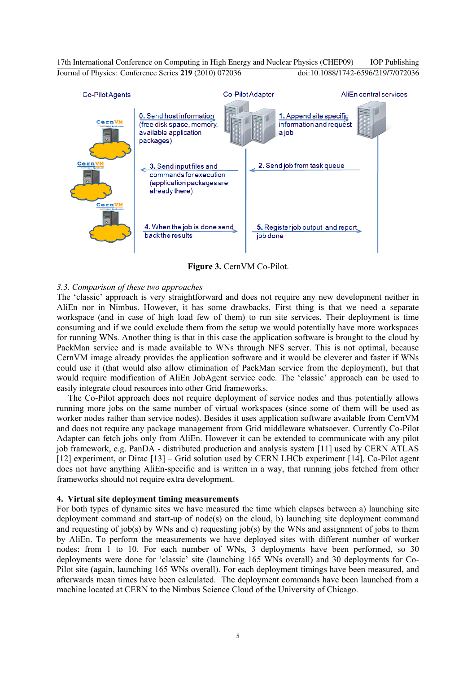

Figure 3. CernVM Co-Pilot.

# *3.3.\$Comparison\$of\$these\$two\$approaches*

The 'classic' approach is very straightforward and does not require any new development neither in AliEn nor in Nimbus. However, it has some drawbacks. First thing is that we need a separate workspace (and in case of high load few of them) to run site services. Their deployment is time consuming and if we could exclude them from the setup we would potentially have more workspaces for running WNs. Another thing is that in this case the application software is brought to the cloud by PackMan service and is made available to WNs through NFS server. This is not optimal, because CernVM image already provides the application software and it would be cleverer and faster if WNs could use it (that would also allow elimination of PackMan service from the deployment), but that would require modification of AliEn JobAgent service code. The 'classic' approach can be used to easily integrate cloud resources into other Grid frameworks.

The Co-Pilot approach does not require deployment of service nodes and thus potentially allows running more jobs on the same number of virtual workspaces (since some of them will be used as worker nodes rather than service nodes). Besides it uses application software available from CernVM and does not require any package management from Grid middleware whatsoever. Currently Co-Pilot Adapter can fetch jobs only from AliEn. However it can be extended to communicate with any pilot job framework, e.g. PanDA - distributed production and analysis system [11] used by CERN ATLAS [12] experiment, or Dirac  $[13]$  – Grid solution used by CERN LHCb experiment [14]. Co-Pilot agent does not have anything AliEn-specific and is written in a way, that running jobs fetched from other frameworks should not require extra development.

#### **4. Virtual site deployment timing measurements**

For both types of dynamic sites we have measured the time which elapses between a) launching site deployment command and start-up of node(s) on the cloud, b) launching site deployment command and requesting of job(s) by WNs and c) requesting job(s) by the WNs and assignment of jobs to them by AliEn. To perform the measurements we have deployed sites with different number of worker nodes: from 1 to 10. For each number of WNs, 3 deployments have been performed, so 30 deployments were done for 'classic' site (launching 165 WNs overall) and 30 deployments for Co-Pilot site (again, launching 165 WNs overall). For each deployment timings have been measured, and afterwards mean times have been calculated. The deployment commands have been launched from a machine located at CERN to the Nimbus Science Cloud of the University of Chicago.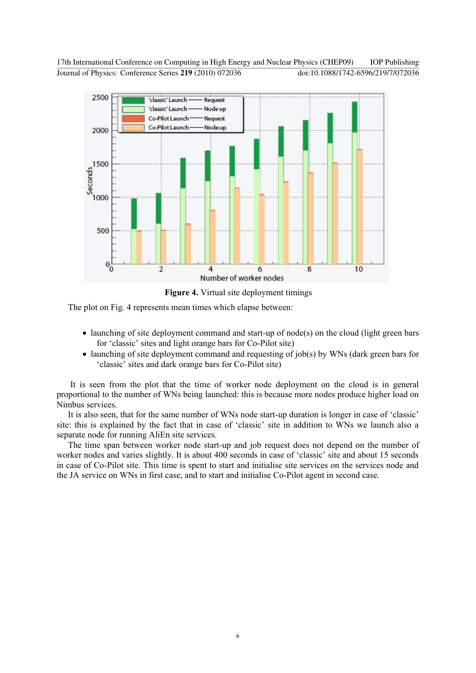



The plot on Fig. 4 represents mean times which elapse between:

- launching of site deployment command and start-up of node(s) on the cloud (light green bars for 'classic' sites and light orange bars for Co-Pilot site)
- launching of site deployment command and requesting of job(s) by WNs (dark green bars for 'classic' sites and dark orange bars for Co-Pilot site)

It is seen from the plot that the time of worker node deployment on the cloud is in general proportional to the number of WNs being launched: this is because more nodes produce higher load on Nimbus services.

It is also seen, that for the same number of WNs node start-up duration is longer in case of 'classic' site: this is explained by the fact that in case of 'classic' site in addition to WNs we launch also a separate node for running AliEn site services.

The time span between worker node start-up and job request does not depend on the number of worker nodes and varies slightly. It is about 400 seconds in case of 'classic' site and about 15 seconds in case of Co-Pilot site. This time is spent to start and initialise site services on the services node and the JA service on WNs in first case, and to start and initialise Co-Pilot agent in second case.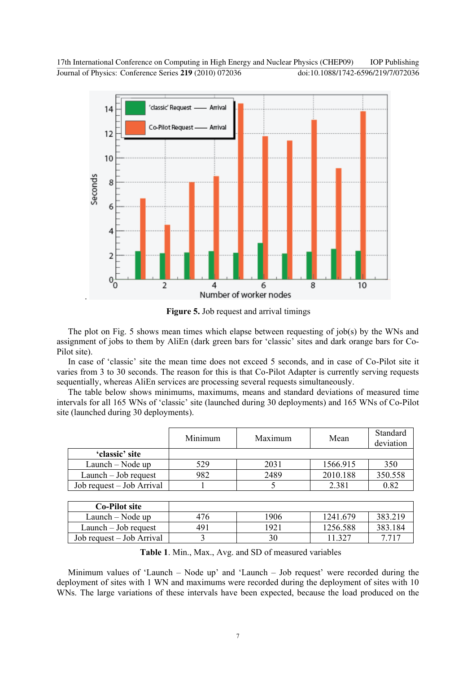

Figure 5. Job request and arrival timings

The plot on Fig. 5 shows mean times which elapse between requesting of job(s) by the WNs and assignment of jobs to them by AliEn (dark green bars for 'classic' sites and dark orange bars for Co-Pilot site).

In case of 'classic' site the mean time does not exceed 5 seconds, and in case of Co-Pilot site it varies from 3 to 30 seconds. The reason for this is that Co-Pilot Adapter is currently serving requests sequentially, whereas AliEn services are processing several requests simultaneously.

The table below shows minimums, maximums, means and standard deviations of measured time intervals for all 165 WNs of 'classic' site (launched during 30 deployments) and 165 WNs of Co-Pilot site (launched during 30 deployments).

|                           | Minimum | Maximum | Mean     | Standard<br>deviation |
|---------------------------|---------|---------|----------|-----------------------|
| 'classic' site            |         |         |          |                       |
| Launch – Node up          | 529     | 2031    | 1566.915 | 350                   |
| $L$ aunch $-$ Job request | 982     | 2489    | 2010.188 | 350.558               |
| Job request – Job Arrival |         |         | 2.381    | 0.82                  |

| <b>Co-Pilot site</b>      |     |      |          |         |
|---------------------------|-----|------|----------|---------|
| Launch – Node up          | 476 | '906 | 1241.679 | 383.219 |
| $L$ aunch $-$ Job request | 491 | 1921 | 1256.588 | 383.184 |
| Job request – Job Arrival |     | 30   | -327     | 7 717   |

Table 1. Min., Max., Avg. and SD of measured variables

Minimum values of 'Launch – Node up' and 'Launch – Job request' were recorded during the deployment of sites with 1 WN and maximums were recorded during the deployment of sites with 10 WNs. The large variations of these intervals have been expected, because the load produced on the